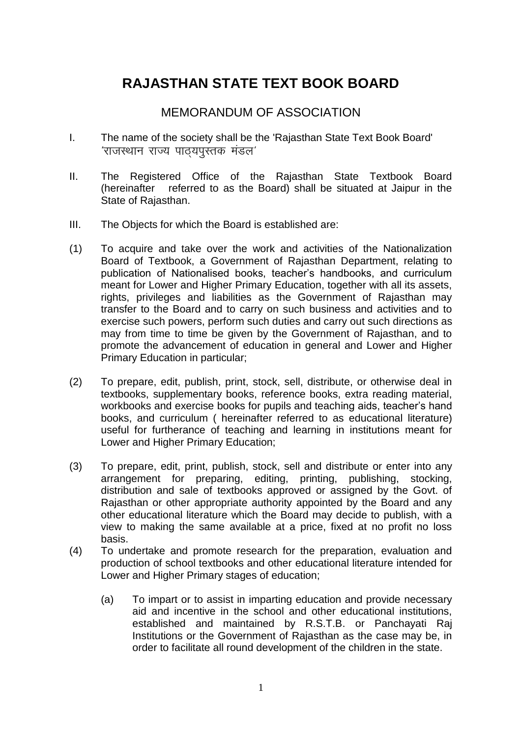# **RAJASTHAN STATE TEXT BOOK BOARD**

# MEMORANDUM OF ASSOCIATION

- I. The name of the society shall be the 'Rajasthan State Text Book Board'  $'$ राजस्थान राज्य पाठयपुस्तक मंडल $'$
- II. The Registered Office of the Rajasthan State Textbook Board (hereinafter referred to as the Board) shall be situated at Jaipur in the State of Rajasthan.
- III. The Objects for which the Board is established are:
- (1) To acquire and take over the work and activities of the Nationalization Board of Textbook, a Government of Rajasthan Department, relating to publication of Nationalised books, teacher's handbooks, and curriculum meant for Lower and Higher Primary Education, together with all its assets, rights, privileges and liabilities as the Government of Rajasthan may transfer to the Board and to carry on such business and activities and to exercise such powers, perform such duties and carry out such directions as may from time to time be given by the Government of Rajasthan, and to promote the advancement of education in general and Lower and Higher Primary Education in particular;
- (2) To prepare, edit, publish, print, stock, sell, distribute, or otherwise deal in textbooks, supplementary books, reference books, extra reading material, workbooks and exercise books for pupils and teaching aids, teacher's hand books, and curriculum ( hereinafter referred to as educational literature) useful for furtherance of teaching and learning in institutions meant for Lower and Higher Primary Education;
- (3) To prepare, edit, print, publish, stock, sell and distribute or enter into any arrangement for preparing, editing, printing, publishing, stocking, distribution and sale of textbooks approved or assigned by the Govt. of Rajasthan or other appropriate authority appointed by the Board and any other educational literature which the Board may decide to publish, with a view to making the same available at a price, fixed at no profit no loss basis.
- (4) To undertake and promote research for the preparation, evaluation and production of school textbooks and other educational literature intended for Lower and Higher Primary stages of education;
	- (a) To impart or to assist in imparting education and provide necessary aid and incentive in the school and other educational institutions, established and maintained by R.S.T.B. or Panchayati Raj Institutions or the Government of Rajasthan as the case may be, in order to facilitate all round development of the children in the state.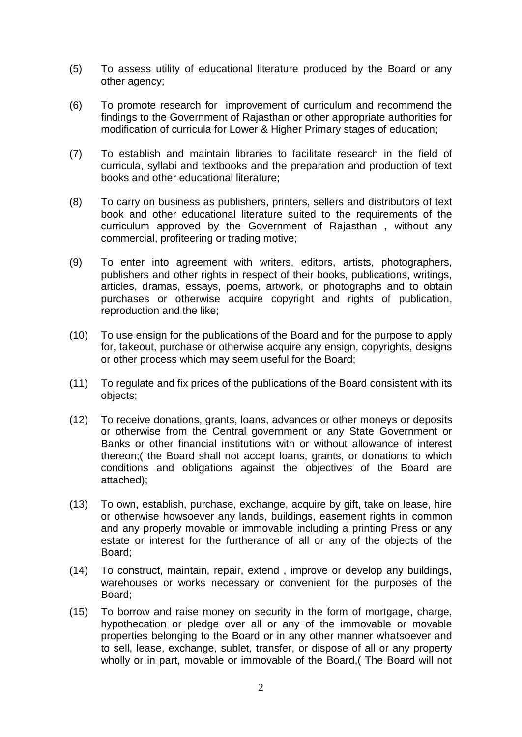- (5) To assess utility of educational literature produced by the Board or any other agency;
- (6) To promote research for improvement of curriculum and recommend the findings to the Government of Rajasthan or other appropriate authorities for modification of curricula for Lower & Higher Primary stages of education;
- (7) To establish and maintain libraries to facilitate research in the field of curricula, syllabi and textbooks and the preparation and production of text books and other educational literature;
- (8) To carry on business as publishers, printers, sellers and distributors of text book and other educational literature suited to the requirements of the curriculum approved by the Government of Rajasthan , without any commercial, profiteering or trading motive;
- (9) To enter into agreement with writers, editors, artists, photographers, publishers and other rights in respect of their books, publications, writings, articles, dramas, essays, poems, artwork, or photographs and to obtain purchases or otherwise acquire copyright and rights of publication, reproduction and the like;
- (10) To use ensign for the publications of the Board and for the purpose to apply for, takeout, purchase or otherwise acquire any ensign, copyrights, designs or other process which may seem useful for the Board;
- (11) To regulate and fix prices of the publications of the Board consistent with its objects;
- (12) To receive donations, grants, loans, advances or other moneys or deposits or otherwise from the Central government or any State Government or Banks or other financial institutions with or without allowance of interest thereon;( the Board shall not accept loans, grants, or donations to which conditions and obligations against the objectives of the Board are attached);
- (13) To own, establish, purchase, exchange, acquire by gift, take on lease, hire or otherwise howsoever any lands, buildings, easement rights in common and any properly movable or immovable including a printing Press or any estate or interest for the furtherance of all or any of the objects of the Board;
- (14) To construct, maintain, repair, extend , improve or develop any buildings, warehouses or works necessary or convenient for the purposes of the Board;
- (15) To borrow and raise money on security in the form of mortgage, charge, hypothecation or pledge over all or any of the immovable or movable properties belonging to the Board or in any other manner whatsoever and to sell, lease, exchange, sublet, transfer, or dispose of all or any property wholly or in part, movable or immovable of the Board,( The Board will not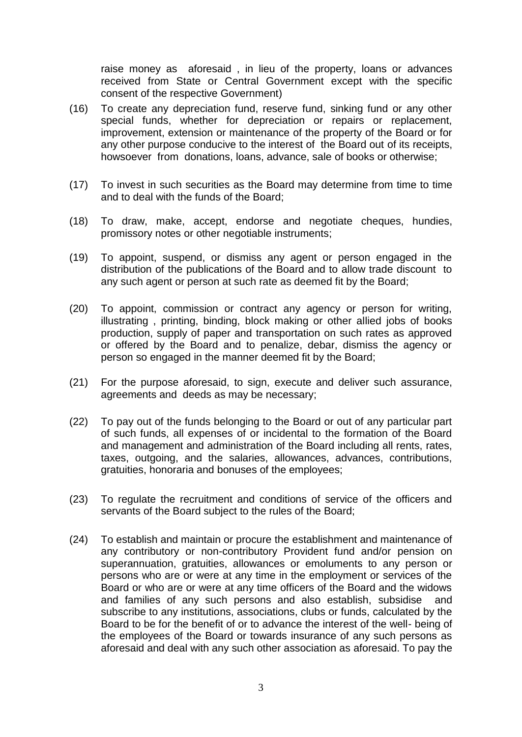raise money as aforesaid , in lieu of the property, loans or advances received from State or Central Government except with the specific consent of the respective Government)

- (16) To create any depreciation fund, reserve fund, sinking fund or any other special funds, whether for depreciation or repairs or replacement, improvement, extension or maintenance of the property of the Board or for any other purpose conducive to the interest of the Board out of its receipts, howsoever from donations, loans, advance, sale of books or otherwise;
- (17) To invest in such securities as the Board may determine from time to time and to deal with the funds of the Board;
- (18) To draw, make, accept, endorse and negotiate cheques, hundies, promissory notes or other negotiable instruments;
- (19) To appoint, suspend, or dismiss any agent or person engaged in the distribution of the publications of the Board and to allow trade discount to any such agent or person at such rate as deemed fit by the Board;
- (20) To appoint, commission or contract any agency or person for writing, illustrating , printing, binding, block making or other allied jobs of books production, supply of paper and transportation on such rates as approved or offered by the Board and to penalize, debar, dismiss the agency or person so engaged in the manner deemed fit by the Board;
- (21) For the purpose aforesaid, to sign, execute and deliver such assurance, agreements and deeds as may be necessary;
- (22) To pay out of the funds belonging to the Board or out of any particular part of such funds, all expenses of or incidental to the formation of the Board and management and administration of the Board including all rents, rates, taxes, outgoing, and the salaries, allowances, advances, contributions, gratuities, honoraria and bonuses of the employees;
- (23) To regulate the recruitment and conditions of service of the officers and servants of the Board subject to the rules of the Board;
- (24) To establish and maintain or procure the establishment and maintenance of any contributory or non-contributory Provident fund and/or pension on superannuation, gratuities, allowances or emoluments to any person or persons who are or were at any time in the employment or services of the Board or who are or were at any time officers of the Board and the widows and families of any such persons and also establish, subsidise and subscribe to any institutions, associations, clubs or funds, calculated by the Board to be for the benefit of or to advance the interest of the well- being of the employees of the Board or towards insurance of any such persons as aforesaid and deal with any such other association as aforesaid. To pay the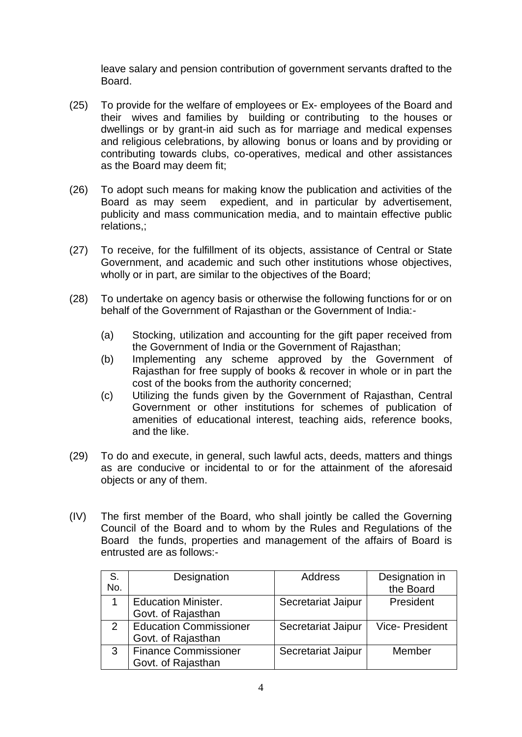leave salary and pension contribution of government servants drafted to the Board.

- (25) To provide for the welfare of employees or Ex- employees of the Board and their wives and families by building or contributing to the houses or dwellings or by grant-in aid such as for marriage and medical expenses and religious celebrations, by allowing bonus or loans and by providing or contributing towards clubs, co-operatives, medical and other assistances as the Board may deem fit;
- (26) To adopt such means for making know the publication and activities of the Board as may seem expedient, and in particular by advertisement, publicity and mass communication media, and to maintain effective public relations,;
- (27) To receive, for the fulfillment of its objects, assistance of Central or State Government, and academic and such other institutions whose objectives, wholly or in part, are similar to the objectives of the Board;
- (28) To undertake on agency basis or otherwise the following functions for or on behalf of the Government of Rajasthan or the Government of India:-
	- (a) Stocking, utilization and accounting for the gift paper received from the Government of India or the Government of Rajasthan;
	- (b) Implementing any scheme approved by the Government of Rajasthan for free supply of books & recover in whole or in part the cost of the books from the authority concerned;
	- (c) Utilizing the funds given by the Government of Rajasthan, Central Government or other institutions for schemes of publication of amenities of educational interest, teaching aids, reference books, and the like.
- (29) To do and execute, in general, such lawful acts, deeds, matters and things as are conducive or incidental to or for the attainment of the aforesaid objects or any of them.
- (IV) The first member of the Board, who shall jointly be called the Governing Council of the Board and to whom by the Rules and Regulations of the Board the funds, properties and management of the affairs of Board is entrusted are as follows:-

| S.<br>No. | Designation                                         | Address            | Designation in<br>the Board |
|-----------|-----------------------------------------------------|--------------------|-----------------------------|
|           | <b>Education Minister.</b><br>Govt. of Rajasthan    | Secretariat Jaipur | President                   |
|           | <b>Education Commissioner</b><br>Govt. of Rajasthan | Secretariat Jaipur | <b>Vice-President</b>       |
| 3         | <b>Finance Commissioner</b><br>Govt. of Rajasthan   | Secretariat Jaipur | Member                      |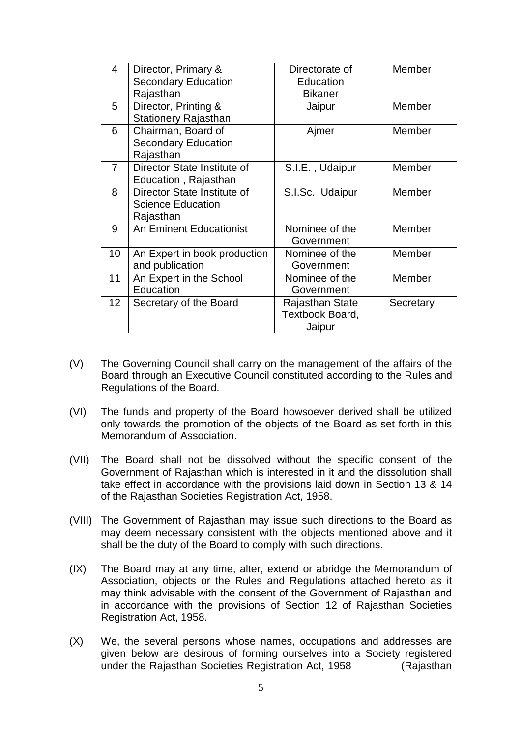| 4              | Director, Primary &            | Directorate of  | Member    |
|----------------|--------------------------------|-----------------|-----------|
|                | <b>Secondary Education</b>     | Education       |           |
|                | Rajasthan                      | <b>Bikaner</b>  |           |
| 5              | Director, Printing &           | Jaipur          | Member    |
|                | <b>Stationery Rajasthan</b>    |                 |           |
| 6              | Chairman, Board of             | Ajmer           | Member    |
|                | <b>Secondary Education</b>     |                 |           |
|                | Rajasthan                      |                 |           |
| $\overline{7}$ | Director State Institute of    | S.I.E., Udaipur | Member    |
|                | Education, Rajasthan           |                 |           |
| 8              | Director State Institute of    | S.I.Sc. Udaipur | Member    |
|                | <b>Science Education</b>       |                 |           |
|                | Rajasthan                      |                 |           |
| 9              | <b>An Eminent Educationist</b> | Nominee of the  | Member    |
|                |                                | Government      |           |
| 10             | An Expert in book production   | Nominee of the  | Member    |
|                | and publication                | Government      |           |
| 11             | An Expert in the School        | Nominee of the  | Member    |
|                | Education                      | Government      |           |
| 12             | Secretary of the Board         | Rajasthan State | Secretary |
|                |                                | Textbook Board, |           |
|                |                                | Jaipur          |           |

- (V) The Governing Council shall carry on the management of the affairs of the Board through an Executive Council constituted according to the Rules and Regulations of the Board.
- (VI) The funds and property of the Board howsoever derived shall be utilized only towards the promotion of the objects of the Board as set forth in this Memorandum of Association.
- (VII) The Board shall not be dissolved without the specific consent of the Government of Rajasthan which is interested in it and the dissolution shall take effect in accordance with the provisions laid down in Section 13 & 14 of the Rajasthan Societies Registration Act, 1958.
- (VIII) The Government of Rajasthan may issue such directions to the Board as may deem necessary consistent with the objects mentioned above and it shall be the duty of the Board to comply with such directions.
- (IX) The Board may at any time, alter, extend or abridge the Memorandum of Association, objects or the Rules and Regulations attached hereto as it may think advisable with the consent of the Government of Rajasthan and in accordance with the provisions of Section 12 of Rajasthan Societies Registration Act, 1958.
- (X) We, the several persons whose names, occupations and addresses are given below are desirous of forming ourselves into a Society registered under the Rajasthan Societies Registration Act, 1958 (Rajasthan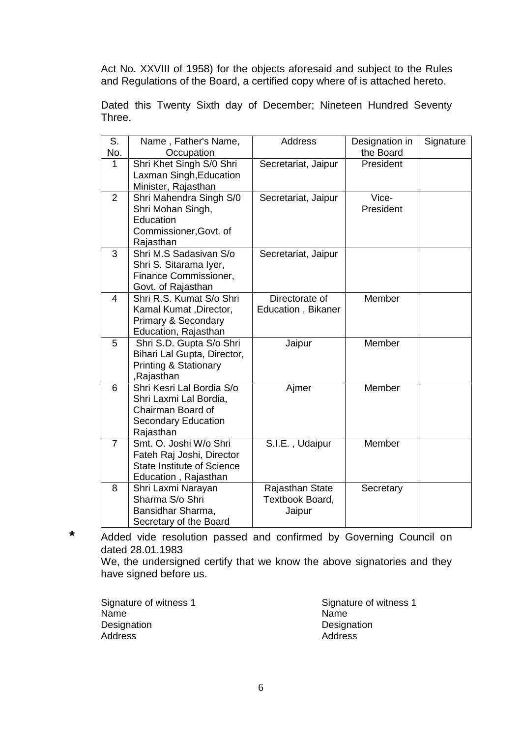Act No. XXVIII of 1958) for the objects aforesaid and subject to the Rules and Regulations of the Board, a certified copy where of is attached hereto.

Dated this Twenty Sixth day of December; Nineteen Hundred Seventy Three.

| S.             | Name, Father's Name,              | <b>Address</b>      | Designation in | Signature |
|----------------|-----------------------------------|---------------------|----------------|-----------|
| No.            | Occupation                        |                     | the Board      |           |
| 1              | Shri Khet Singh S/0 Shri          | Secretariat, Jaipur | President      |           |
|                | Laxman Singh, Education           |                     |                |           |
|                | Minister, Rajasthan               |                     |                |           |
| $\overline{2}$ | Shri Mahendra Singh S/0           | Secretariat, Jaipur | Vice-          |           |
|                | Shri Mohan Singh,                 |                     | President      |           |
|                | Education                         |                     |                |           |
|                | Commissioner, Govt. of            |                     |                |           |
|                | Rajasthan                         |                     |                |           |
| 3              | Shri M.S Sadasivan S/o            | Secretariat, Jaipur |                |           |
|                | Shri S. Sitarama Iyer,            |                     |                |           |
|                | Finance Commissioner,             |                     |                |           |
|                | Govt. of Rajasthan                |                     |                |           |
| 4              | Shri R.S. Kumat S/o Shri          | Directorate of      | Member         |           |
|                | Kamal Kumat, Director,            | Education, Bikaner  |                |           |
|                | <b>Primary &amp; Secondary</b>    |                     |                |           |
|                | Education, Rajasthan              |                     |                |           |
| 5              | Shri S.D. Gupta S/o Shri          | Jaipur              | Member         |           |
|                | Bihari Lal Gupta, Director,       |                     |                |           |
|                | <b>Printing &amp; Stationary</b>  |                     |                |           |
|                | ,Rajasthan                        |                     |                |           |
| 6              | Shri Kesri Lal Bordia S/o         | Ajmer               | Member         |           |
|                | Shri Laxmi Lal Bordia,            |                     |                |           |
|                | Chairman Board of                 |                     |                |           |
|                | <b>Secondary Education</b>        |                     |                |           |
|                | Rajasthan                         |                     |                |           |
| $\overline{7}$ | Smt. O. Joshi W/o Shri            | S.I.E., Udaipur     | Member         |           |
|                | Fateh Raj Joshi, Director         |                     |                |           |
|                | <b>State Institute of Science</b> |                     |                |           |
|                | Education, Rajasthan              |                     |                |           |
| 8              | Shri Laxmi Narayan                | Rajasthan State     | Secretary      |           |
|                | Sharma S/o Shri                   | Textbook Board,     |                |           |
|                | Bansidhar Sharma,                 | Jaipur              |                |           |
|                | Secretary of the Board            |                     |                |           |

**\*** Added vide resolution passed and confirmed by Governing Council on dated 28.01.1983

We, the undersigned certify that we know the above signatories and they have signed before us.

Signature of witness 1 Signature of witness 1<br>
Name<br>
Name Name Name Designation Designation<br>Address Address Address Address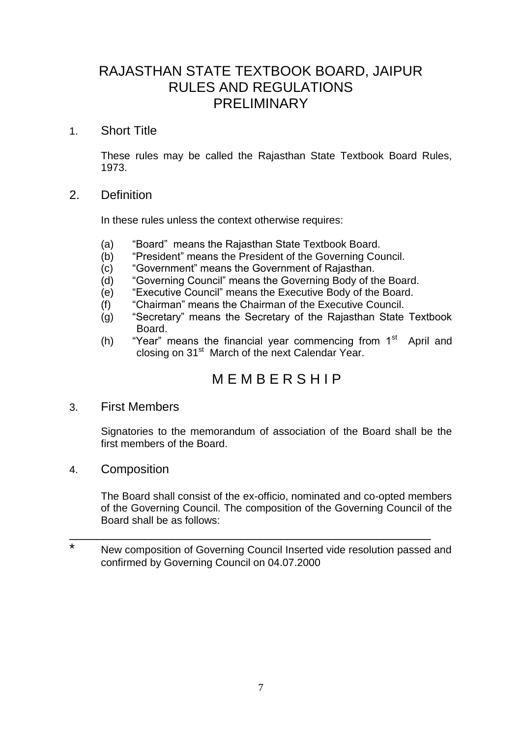# RAJASTHAN STATE TEXTBOOK BOARD, JAIPUR RULES AND REGULATIONS PRELIMINARY

#### 1. Short Title

These rules may be called the Rajasthan State Textbook Board Rules, 1973.

#### 2. Definition

In these rules unless the context otherwise requires:

- (a) "Board" means the Rajasthan State Textbook Board.
- (b) "President" means the President of the Governing Council.
- (c) "Government" means the Government of Rajasthan.
- (d) "Governing Council" means the Governing Body of the Board.
- (e) "Executive Council" means the Executive Body of the Board.
- (f) "Chairman" means the Chairman of the Executive Council.
- (g) "Secretary" means the Secretary of the Rajasthan State Textbook Board.
- (h) "Year" means the financial year commencing from  $1<sup>st</sup>$  April and closing on 31<sup>st</sup> March of the next Calendar Year.

# M E M B E R S H I P

#### 3. First Members

Signatories to the memorandum of association of the Board shall be the first members of the Board.

4. Composition

The Board shall consist of the ex-officio, nominated and co-opted members of the Governing Council. The composition of the Governing Council of the Board shall be as follows:

\* New composition of Governing Council Inserted vide resolution passed and confirmed by Governing Council on 04.07.2000

\_\_\_\_\_\_\_\_\_\_\_\_\_\_\_\_\_\_\_\_\_\_\_\_\_\_\_\_\_\_\_\_\_\_\_\_\_\_\_\_\_\_\_\_\_\_\_\_\_\_\_\_\_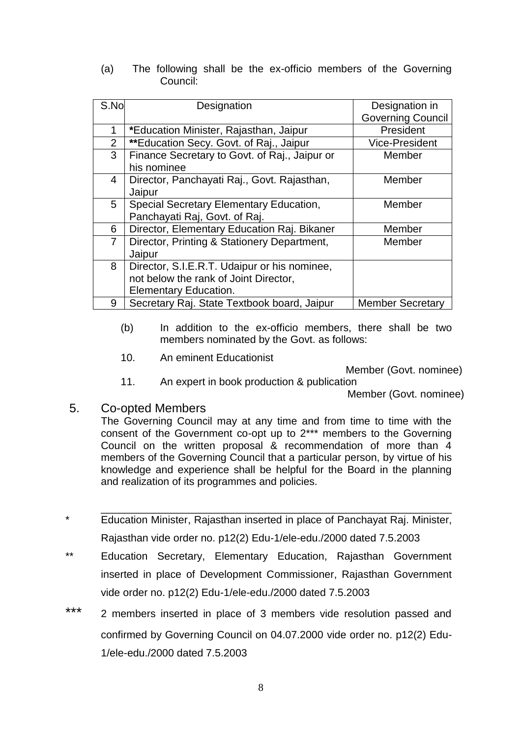(a) The following shall be the ex-officio members of the Governing Council:

| S.No           | Designation                                                                                                    | Designation in           |
|----------------|----------------------------------------------------------------------------------------------------------------|--------------------------|
|                |                                                                                                                | <b>Governing Council</b> |
| 1              | *Education Minister, Rajasthan, Jaipur                                                                         | President                |
| $\overline{2}$ | **Education Secy. Govt. of Raj., Jaipur                                                                        | <b>Vice-President</b>    |
| 3              | Finance Secretary to Govt. of Raj., Jaipur or<br>his nominee                                                   | Member                   |
| $\overline{4}$ | Director, Panchayati Raj., Govt. Rajasthan,<br>Jaipur                                                          | Member                   |
| 5              | Special Secretary Elementary Education,<br>Panchayati Raj, Govt. of Raj.                                       | Member                   |
| 6              | Director, Elementary Education Raj. Bikaner                                                                    | Member                   |
| $\overline{7}$ | Director, Printing & Stationery Department,<br>Jaipur                                                          | Member                   |
| 8              | Director, S.I.E.R.T. Udaipur or his nominee,<br>not below the rank of Joint Director,<br>Elementary Education. |                          |
| 9              | Secretary Raj. State Textbook board, Jaipur                                                                    | <b>Member Secretary</b>  |

- (b) In addition to the ex-officio members, there shall be two members nominated by the Govt. as follows:
- 10. An eminent Educationist

Member (Govt. nominee)

11. An expert in book production & publication

Member (Govt. nominee)

#### 5. Co-opted Members

The Governing Council may at any time and from time to time with the consent of the Government co-opt up to 2\*\*\* members to the Governing Council on the written proposal & recommendation of more than 4 members of the Governing Council that a particular person, by virtue of his knowledge and experience shall be helpful for the Board in the planning and realization of its programmes and policies.

\_\_\_\_\_\_\_\_\_\_\_\_\_\_\_\_\_\_\_\_\_\_\_\_\_\_\_\_\_\_\_\_\_\_\_\_\_\_\_\_\_\_\_\_\_\_\_\_\_\_\_\_\_\_\_\_\_\_\_\_

- \* Education Minister, Rajasthan inserted in place of Panchayat Raj. Minister, Rajasthan vide order no. p12(2) Edu-1/ele-edu./2000 dated 7.5.2003
- \*\* Education Secretary, Elementary Education, Rajasthan Government inserted in place of Development Commissioner, Rajasthan Government vide order no. p12(2) Edu-1/ele-edu./2000 dated 7.5.2003
- \*\*\* 2 members inserted in place of 3 members vide resolution passed and confirmed by Governing Council on 04.07.2000 vide order no. p12(2) Edu-1/ele-edu./2000 dated 7.5.2003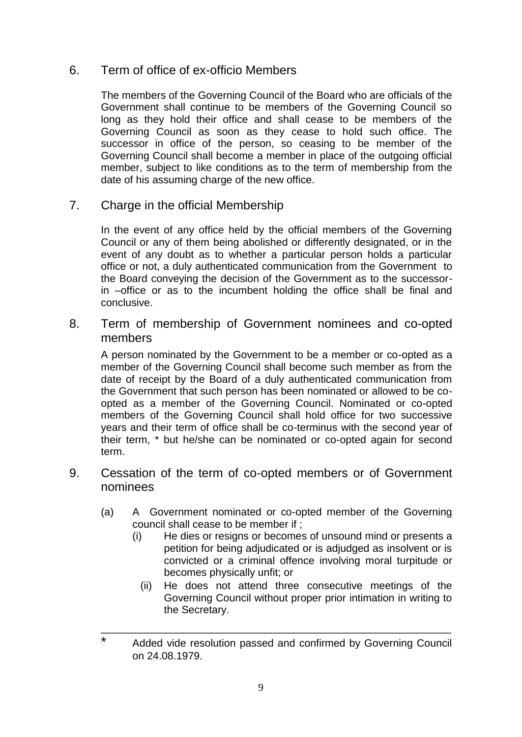### 6. Term of office of ex-officio Members

The members of the Governing Council of the Board who are officials of the Government shall continue to be members of the Governing Council so long as they hold their office and shall cease to be members of the Governing Council as soon as they cease to hold such office. The successor in office of the person, so ceasing to be member of the Governing Council shall become a member in place of the outgoing official member, subject to like conditions as to the term of membership from the date of his assuming charge of the new office.

7. Charge in the official Membership

In the event of any office held by the official members of the Governing Council or any of them being abolished or differently designated, or in the event of any doubt as to whether a particular person holds a particular office or not, a duly authenticated communication from the Government to the Board conveying the decision of the Government as to the successorin –office or as to the incumbent holding the office shall be final and conclusive.

8. Term of membership of Government nominees and co-opted members

A person nominated by the Government to be a member or co-opted as a member of the Governing Council shall become such member as from the date of receipt by the Board of a duly authenticated communication from the Government that such person has been nominated or allowed to be coopted as a member of the Governing Council. Nominated or co-opted members of the Governing Council shall hold office for two successive years and their term of office shall be co-terminus with the second year of their term, \* but he/she can be nominated or co-opted again for second term.

- 9. Cessation of the term of co-opted members or of Government nominees
	- (a) A Government nominated or co-opted member of the Governing council shall cease to be member if ;
		- (i) He dies or resigns or becomes of unsound mind or presents a petition for being adjudicated or is adjudged as insolvent or is convicted or a criminal offence involving moral turpitude or becomes physically unfit; or
			- (ii) He does not attend three consecutive meetings of the Governing Council without proper prior intimation in writing to the Secretary.

\_\_\_\_\_\_\_\_\_\_\_\_\_\_\_\_\_\_\_\_\_\_\_\_\_\_\_\_\_\_\_\_\_\_\_\_\_\_\_\_\_\_\_\_\_\_\_\_\_\_\_\_\_\_\_\_\_\_\_\_

<sup>\*</sup> Added vide resolution passed and confirmed by Governing Council on 24.08.1979.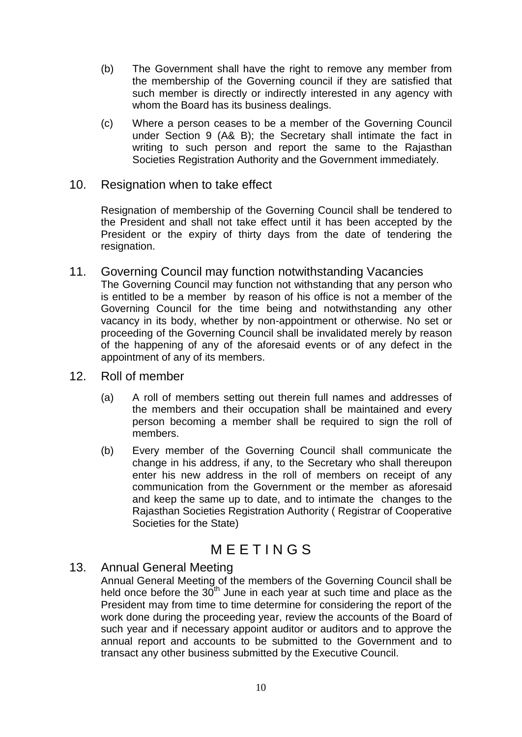- (b) The Government shall have the right to remove any member from the membership of the Governing council if they are satisfied that such member is directly or indirectly interested in any agency with whom the Board has its business dealings.
- (c) Where a person ceases to be a member of the Governing Council under Section 9 (A& B); the Secretary shall intimate the fact in writing to such person and report the same to the Rajasthan Societies Registration Authority and the Government immediately.

#### 10. Resignation when to take effect

Resignation of membership of the Governing Council shall be tendered to the President and shall not take effect until it has been accepted by the President or the expiry of thirty days from the date of tendering the resignation.

- 11. Governing Council may function notwithstanding Vacancies The Governing Council may function not withstanding that any person who is entitled to be a member by reason of his office is not a member of the Governing Council for the time being and notwithstanding any other vacancy in its body, whether by non-appointment or otherwise. No set or proceeding of the Governing Council shall be invalidated merely by reason of the happening of any of the aforesaid events or of any defect in the appointment of any of its members.
- 12. Roll of member
	- (a) A roll of members setting out therein full names and addresses of the members and their occupation shall be maintained and every person becoming a member shall be required to sign the roll of members.
	- (b) Every member of the Governing Council shall communicate the change in his address, if any, to the Secretary who shall thereupon enter his new address in the roll of members on receipt of any communication from the Government or the member as aforesaid and keep the same up to date, and to intimate the changes to the Rajasthan Societies Registration Authority ( Registrar of Cooperative Societies for the State)

# **MEETINGS**

#### 13. Annual General Meeting

Annual General Meeting of the members of the Governing Council shall be held once before the  $30^{th}$  June in each year at such time and place as the President may from time to time determine for considering the report of the work done during the proceeding year, review the accounts of the Board of such year and if necessary appoint auditor or auditors and to approve the annual report and accounts to be submitted to the Government and to transact any other business submitted by the Executive Council.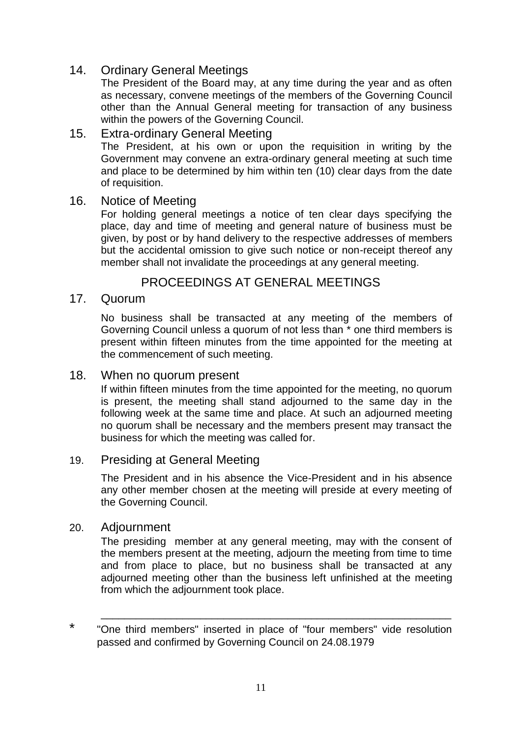# 14. Ordinary General Meetings

The President of the Board may, at any time during the year and as often as necessary, convene meetings of the members of the Governing Council other than the Annual General meeting for transaction of any business within the powers of the Governing Council.

#### 15. Extra-ordinary General Meeting

The President, at his own or upon the requisition in writing by the Government may convene an extra-ordinary general meeting at such time and place to be determined by him within ten (10) clear days from the date of requisition.

#### 16. Notice of Meeting

For holding general meetings a notice of ten clear days specifying the place, day and time of meeting and general nature of business must be given, by post or by hand delivery to the respective addresses of members but the accidental omission to give such notice or non-receipt thereof any member shall not invalidate the proceedings at any general meeting.

# PROCEEDINGS AT GENERAL MEETINGS

#### 17. Quorum

No business shall be transacted at any meeting of the members of Governing Council unless a quorum of not less than \* one third members is present within fifteen minutes from the time appointed for the meeting at the commencement of such meeting.

#### 18. When no quorum present

If within fifteen minutes from the time appointed for the meeting, no quorum is present, the meeting shall stand adjourned to the same day in the following week at the same time and place. At such an adjourned meeting no quorum shall be necessary and the members present may transact the business for which the meeting was called for.

#### 19. Presiding at General Meeting

The President and in his absence the Vice-President and in his absence any other member chosen at the meeting will preside at every meeting of the Governing Council.

#### 20. Adjournment

The presiding member at any general meeting, may with the consent of the members present at the meeting, adjourn the meeting from time to time and from place to place, but no business shall be transacted at any adjourned meeting other than the business left unfinished at the meeting from which the adjournment took place.

\_\_\_\_\_\_\_\_\_\_\_\_\_\_\_\_\_\_\_\_\_\_\_\_\_\_\_\_\_\_\_\_\_\_\_\_\_\_\_\_\_\_\_\_\_\_\_\_\_\_\_\_\_\_\_\_\_\_\_\_

<sup>\*</sup> "One third members" inserted in place of "four members" vide resolution passed and confirmed by Governing Council on 24.08.1979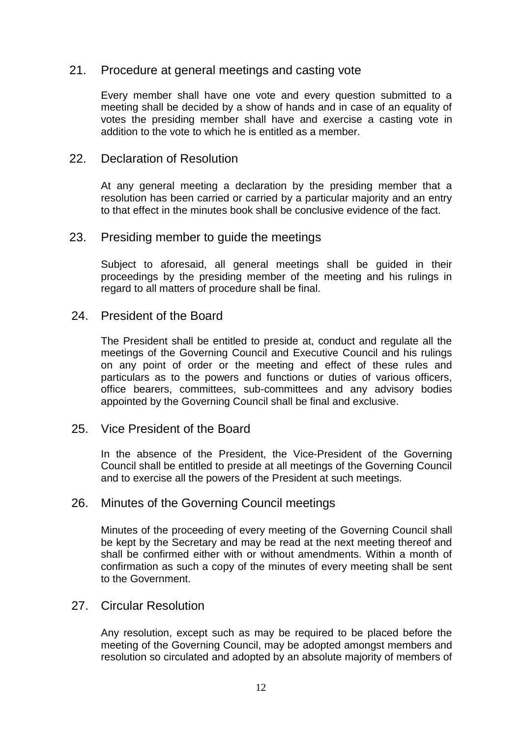#### 21. Procedure at general meetings and casting vote

Every member shall have one vote and every question submitted to a meeting shall be decided by a show of hands and in case of an equality of votes the presiding member shall have and exercise a casting vote in addition to the vote to which he is entitled as a member.

#### 22. Declaration of Resolution

At any general meeting a declaration by the presiding member that a resolution has been carried or carried by a particular majority and an entry to that effect in the minutes book shall be conclusive evidence of the fact.

#### 23. Presiding member to guide the meetings

Subject to aforesaid, all general meetings shall be guided in their proceedings by the presiding member of the meeting and his rulings in regard to all matters of procedure shall be final.

#### 24. President of the Board

The President shall be entitled to preside at, conduct and regulate all the meetings of the Governing Council and Executive Council and his rulings on any point of order or the meeting and effect of these rules and particulars as to the powers and functions or duties of various officers, office bearers, committees, sub-committees and any advisory bodies appointed by the Governing Council shall be final and exclusive.

#### 25. Vice President of the Board

In the absence of the President, the Vice-President of the Governing Council shall be entitled to preside at all meetings of the Governing Council and to exercise all the powers of the President at such meetings.

#### 26. Minutes of the Governing Council meetings

Minutes of the proceeding of every meeting of the Governing Council shall be kept by the Secretary and may be read at the next meeting thereof and shall be confirmed either with or without amendments. Within a month of confirmation as such a copy of the minutes of every meeting shall be sent to the Government.

#### 27. Circular Resolution

Any resolution, except such as may be required to be placed before the meeting of the Governing Council, may be adopted amongst members and resolution so circulated and adopted by an absolute majority of members of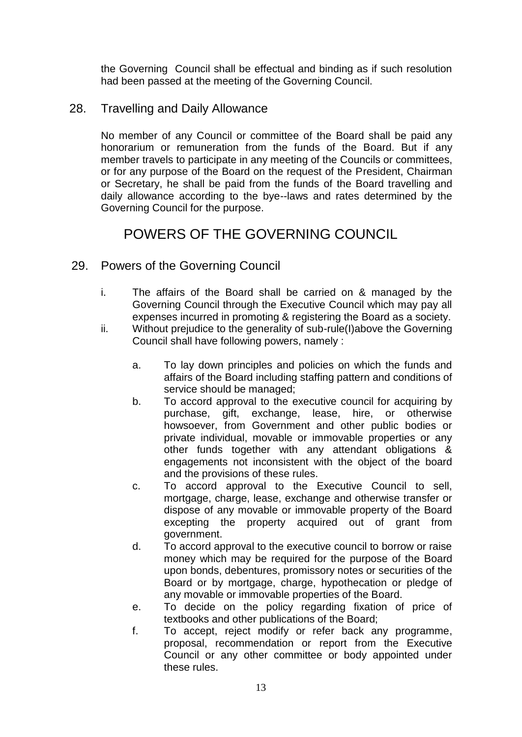the Governing Council shall be effectual and binding as if such resolution had been passed at the meeting of the Governing Council.

#### 28. Travelling and Daily Allowance

No member of any Council or committee of the Board shall be paid any honorarium or remuneration from the funds of the Board. But if any member travels to participate in any meeting of the Councils or committees, or for any purpose of the Board on the request of the President, Chairman or Secretary, he shall be paid from the funds of the Board travelling and daily allowance according to the bye--laws and rates determined by the Governing Council for the purpose.

# POWERS OF THE GOVERNING COUNCIL

- 29. Powers of the Governing Council
	- i. The affairs of the Board shall be carried on & managed by the Governing Council through the Executive Council which may pay all expenses incurred in promoting & registering the Board as a society.
	- ii. Without prejudice to the generality of sub-rule(I)above the Governing Council shall have following powers, namely :
		- a. To lay down principles and policies on which the funds and affairs of the Board including staffing pattern and conditions of service should be managed;
		- b. To accord approval to the executive council for acquiring by purchase, gift, exchange, lease, hire, or otherwise howsoever, from Government and other public bodies or private individual, movable or immovable properties or any other funds together with any attendant obligations & engagements not inconsistent with the object of the board and the provisions of these rules.
		- c. To accord approval to the Executive Council to sell, mortgage, charge, lease, exchange and otherwise transfer or dispose of any movable or immovable property of the Board excepting the property acquired out of grant from government.
		- d. To accord approval to the executive council to borrow or raise money which may be required for the purpose of the Board upon bonds, debentures, promissory notes or securities of the Board or by mortgage, charge, hypothecation or pledge of any movable or immovable properties of the Board.
		- e. To decide on the policy regarding fixation of price of textbooks and other publications of the Board;
		- f. To accept, reject modify or refer back any programme, proposal, recommendation or report from the Executive Council or any other committee or body appointed under these rules.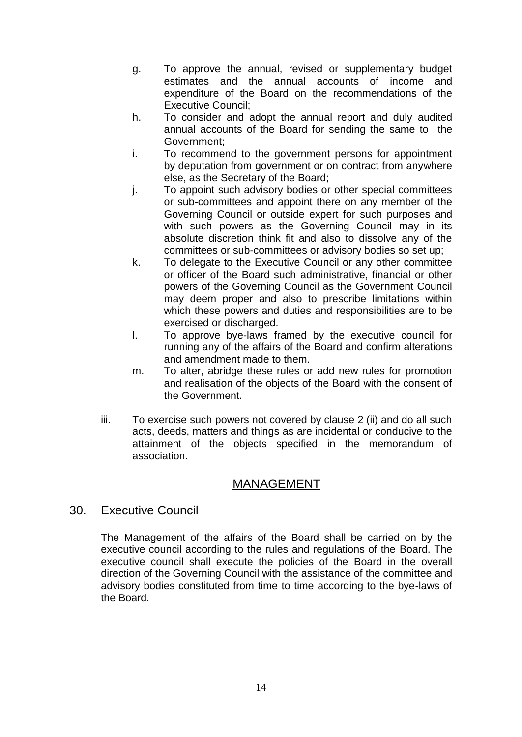- g. To approve the annual, revised or supplementary budget estimates and the annual accounts of income and expenditure of the Board on the recommendations of the Executive Council;
- h. To consider and adopt the annual report and duly audited annual accounts of the Board for sending the same to the Government;
- i. To recommend to the government persons for appointment by deputation from government or on contract from anywhere else, as the Secretary of the Board;
- j. To appoint such advisory bodies or other special committees or sub-committees and appoint there on any member of the Governing Council or outside expert for such purposes and with such powers as the Governing Council may in its absolute discretion think fit and also to dissolve any of the committees or sub-committees or advisory bodies so set up;
- k. To delegate to the Executive Council or any other committee or officer of the Board such administrative, financial or other powers of the Governing Council as the Government Council may deem proper and also to prescribe limitations within which these powers and duties and responsibilities are to be exercised or discharged.
- l. To approve bye-laws framed by the executive council for running any of the affairs of the Board and confirm alterations and amendment made to them.
- m. To alter, abridge these rules or add new rules for promotion and realisation of the objects of the Board with the consent of the Government.
- iii. To exercise such powers not covered by clause 2 (ii) and do all such acts, deeds, matters and things as are incidental or conducive to the attainment of the objects specified in the memorandum of association.

# MANAGEMENT

30. Executive Council

The Management of the affairs of the Board shall be carried on by the executive council according to the rules and regulations of the Board. The executive council shall execute the policies of the Board in the overall direction of the Governing Council with the assistance of the committee and advisory bodies constituted from time to time according to the bye-laws of the Board.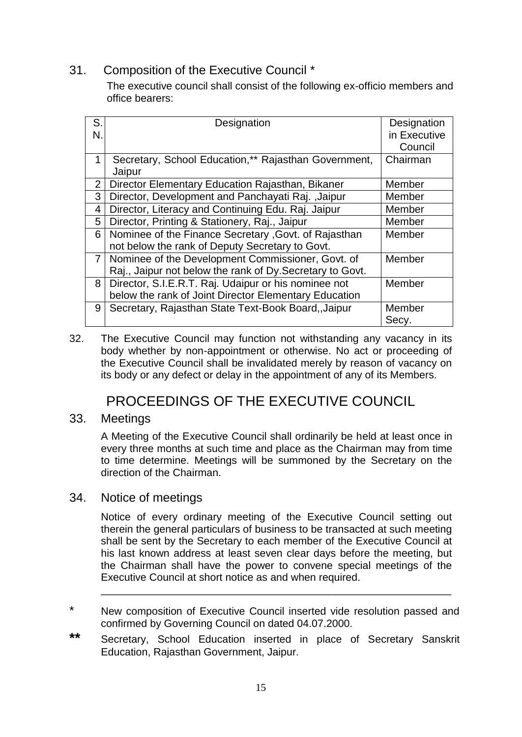# 31. Composition of the Executive Council \*

 The executive council shall consist of the following ex-officio members and office bearers:

| S.             | Designation                                               | Designation  |
|----------------|-----------------------------------------------------------|--------------|
| N.             |                                                           | in Executive |
|                |                                                           | Council      |
|                | Secretary, School Education,** Rajasthan Government,      | Chairman     |
|                | Jaipur                                                    |              |
| $\overline{2}$ | Director Elementary Education Rajasthan, Bikaner          | Member       |
| 3              | Director, Development and Panchayati Raj., Jaipur         | Member       |
| 4              | Director, Literacy and Continuing Edu. Raj. Jaipur        | Member       |
| 5              | Director, Printing & Stationery, Raj., Jaipur             | Member       |
| 6              | Nominee of the Finance Secretary , Govt. of Rajasthan     | Member       |
|                | not below the rank of Deputy Secretary to Govt.           |              |
| 7 <sup>1</sup> | Nominee of the Development Commissioner, Govt. of         | Member       |
|                | Raj., Jaipur not below the rank of Dy. Secretary to Govt. |              |
| 8              | Director, S.I.E.R.T. Raj. Udaipur or his nominee not      | Member       |
|                | below the rank of Joint Director Elementary Education     |              |
| 9              | Secretary, Rajasthan State Text-Book Board, Jaipur        | Member       |
|                |                                                           | Secy.        |

32. The Executive Council may function not withstanding any vacancy in its body whether by non-appointment or otherwise. No act or proceeding of the Executive Council shall be invalidated merely by reason of vacancy on its body or any defect or delay in the appointment of any of its Members.

# PROCEEDINGS OF THE EXECUTIVE COUNCIL

# 33. Meetings

A Meeting of the Executive Council shall ordinarily be held at least once in every three months at such time and place as the Chairman may from time to time determine. Meetings will be summoned by the Secretary on the direction of the Chairman.

#### 34. Notice of meetings

Notice of every ordinary meeting of the Executive Council setting out therein the general particulars of business to be transacted at such meeting shall be sent by the Secretary to each member of the Executive Council at his last known address at least seven clear days before the meeting, but the Chairman shall have the power to convene special meetings of the Executive Council at short notice as and when required.

\_\_\_\_\_\_\_\_\_\_\_\_\_\_\_\_\_\_\_\_\_\_\_\_\_\_\_\_\_\_\_\_\_\_\_\_\_\_\_\_\_\_\_\_\_\_\_\_\_\_\_\_\_\_\_\_\_\_\_\_

- \* New composition of Executive Council inserted vide resolution passed and confirmed by Governing Council on dated 04.07.2000.
- **\*\*** Secretary, School Education inserted in place of Secretary Sanskrit Education, Rajasthan Government, Jaipur.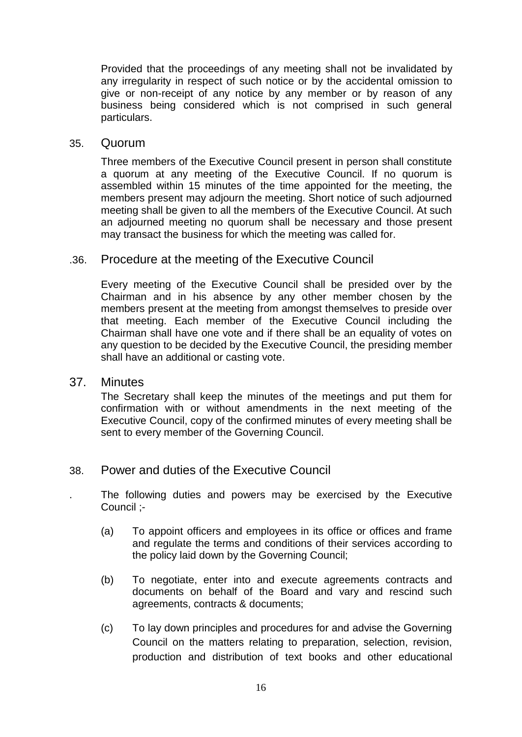Provided that the proceedings of any meeting shall not be invalidated by any irregularity in respect of such notice or by the accidental omission to give or non-receipt of any notice by any member or by reason of any business being considered which is not comprised in such general particulars.

#### 35. Quorum

Three members of the Executive Council present in person shall constitute a quorum at any meeting of the Executive Council. If no quorum is assembled within 15 minutes of the time appointed for the meeting, the members present may adjourn the meeting. Short notice of such adjourned meeting shall be given to all the members of the Executive Council. At such an adjourned meeting no quorum shall be necessary and those present may transact the business for which the meeting was called for.

#### .36. Procedure at the meeting of the Executive Council

Every meeting of the Executive Council shall be presided over by the Chairman and in his absence by any other member chosen by the members present at the meeting from amongst themselves to preside over that meeting. Each member of the Executive Council including the Chairman shall have one vote and if there shall be an equality of votes on any question to be decided by the Executive Council, the presiding member shall have an additional or casting vote.

#### 37. Minutes

The Secretary shall keep the minutes of the meetings and put them for confirmation with or without amendments in the next meeting of the Executive Council, copy of the confirmed minutes of every meeting shall be sent to every member of the Governing Council.

#### 38. Power and duties of the Executive Council

. The following duties and powers may be exercised by the Executive Council ;-

- (a) To appoint officers and employees in its office or offices and frame and regulate the terms and conditions of their services according to the policy laid down by the Governing Council;
- (b) To negotiate, enter into and execute agreements contracts and documents on behalf of the Board and vary and rescind such agreements, contracts & documents;
- (c) To lay down principles and procedures for and advise the Governing Council on the matters relating to preparation, selection, revision, production and distribution of text books and other educational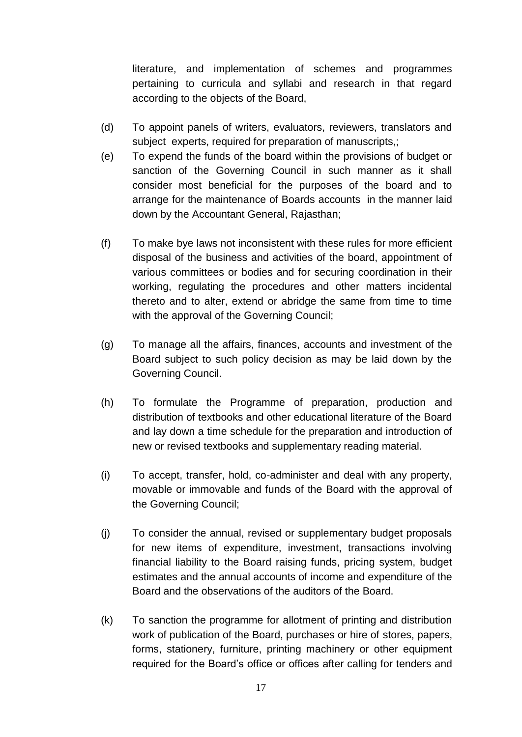literature, and implementation of schemes and programmes pertaining to curricula and syllabi and research in that regard according to the objects of the Board,

- (d) To appoint panels of writers, evaluators, reviewers, translators and subject experts, required for preparation of manuscripts,;
- (e) To expend the funds of the board within the provisions of budget or sanction of the Governing Council in such manner as it shall consider most beneficial for the purposes of the board and to arrange for the maintenance of Boards accounts in the manner laid down by the Accountant General, Rajasthan;
- (f) To make bye laws not inconsistent with these rules for more efficient disposal of the business and activities of the board, appointment of various committees or bodies and for securing coordination in their working, regulating the procedures and other matters incidental thereto and to alter, extend or abridge the same from time to time with the approval of the Governing Council;
- (g) To manage all the affairs, finances, accounts and investment of the Board subject to such policy decision as may be laid down by the Governing Council.
- (h) To formulate the Programme of preparation, production and distribution of textbooks and other educational literature of the Board and lay down a time schedule for the preparation and introduction of new or revised textbooks and supplementary reading material.
- (i) To accept, transfer, hold, co-administer and deal with any property, movable or immovable and funds of the Board with the approval of the Governing Council;
- (j) To consider the annual, revised or supplementary budget proposals for new items of expenditure, investment, transactions involving financial liability to the Board raising funds, pricing system, budget estimates and the annual accounts of income and expenditure of the Board and the observations of the auditors of the Board.
- (k) To sanction the programme for allotment of printing and distribution work of publication of the Board, purchases or hire of stores, papers, forms, stationery, furniture, printing machinery or other equipment required for the Board's office or offices after calling for tenders and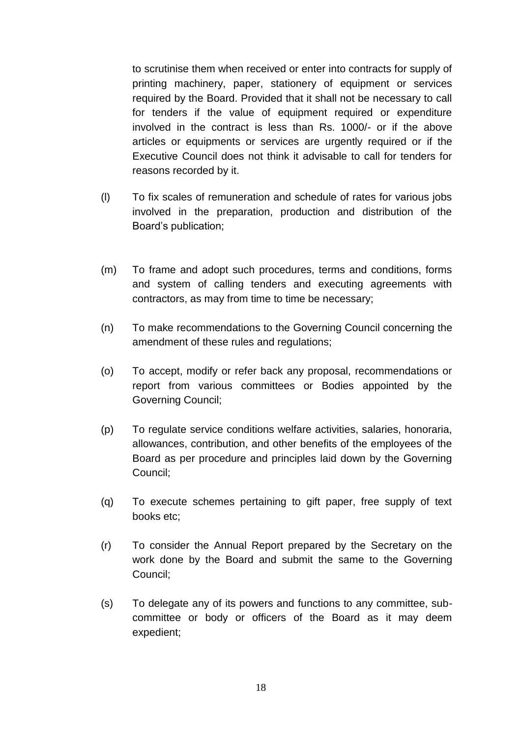to scrutinise them when received or enter into contracts for supply of printing machinery, paper, stationery of equipment or services required by the Board. Provided that it shall not be necessary to call for tenders if the value of equipment required or expenditure involved in the contract is less than Rs. 1000/- or if the above articles or equipments or services are urgently required or if the Executive Council does not think it advisable to call for tenders for reasons recorded by it.

- (l) To fix scales of remuneration and schedule of rates for various jobs involved in the preparation, production and distribution of the Board's publication;
- (m) To frame and adopt such procedures, terms and conditions, forms and system of calling tenders and executing agreements with contractors, as may from time to time be necessary;
- (n) To make recommendations to the Governing Council concerning the amendment of these rules and regulations;
- (o) To accept, modify or refer back any proposal, recommendations or report from various committees or Bodies appointed by the Governing Council;
- (p) To regulate service conditions welfare activities, salaries, honoraria, allowances, contribution, and other benefits of the employees of the Board as per procedure and principles laid down by the Governing Council;
- (q) To execute schemes pertaining to gift paper, free supply of text books etc;
- (r) To consider the Annual Report prepared by the Secretary on the work done by the Board and submit the same to the Governing Council;
- (s) To delegate any of its powers and functions to any committee, subcommittee or body or officers of the Board as it may deem expedient;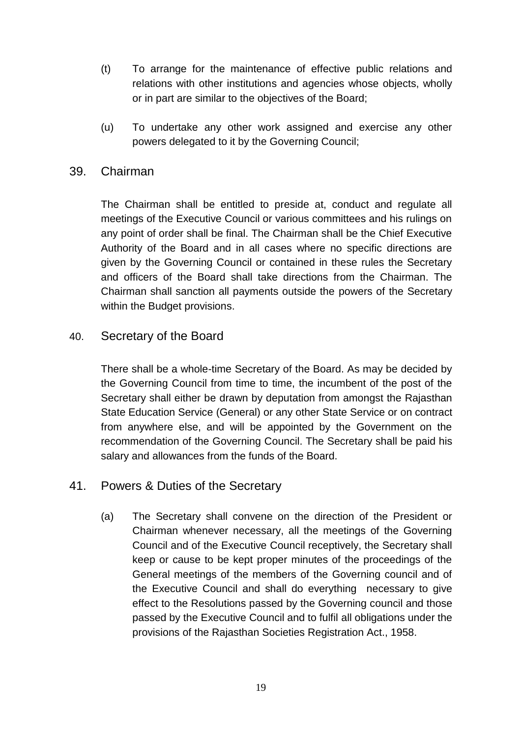- (t) To arrange for the maintenance of effective public relations and relations with other institutions and agencies whose objects, wholly or in part are similar to the objectives of the Board;
- (u) To undertake any other work assigned and exercise any other powers delegated to it by the Governing Council;

### 39. Chairman

The Chairman shall be entitled to preside at, conduct and regulate all meetings of the Executive Council or various committees and his rulings on any point of order shall be final. The Chairman shall be the Chief Executive Authority of the Board and in all cases where no specific directions are given by the Governing Council or contained in these rules the Secretary and officers of the Board shall take directions from the Chairman. The Chairman shall sanction all payments outside the powers of the Secretary within the Budget provisions.

#### 40. Secretary of the Board

There shall be a whole-time Secretary of the Board. As may be decided by the Governing Council from time to time, the incumbent of the post of the Secretary shall either be drawn by deputation from amongst the Rajasthan State Education Service (General) or any other State Service or on contract from anywhere else, and will be appointed by the Government on the recommendation of the Governing Council. The Secretary shall be paid his salary and allowances from the funds of the Board.

# 41. Powers & Duties of the Secretary

(a) The Secretary shall convene on the direction of the President or Chairman whenever necessary, all the meetings of the Governing Council and of the Executive Council receptively, the Secretary shall keep or cause to be kept proper minutes of the proceedings of the General meetings of the members of the Governing council and of the Executive Council and shall do everything necessary to give effect to the Resolutions passed by the Governing council and those passed by the Executive Council and to fulfil all obligations under the provisions of the Rajasthan Societies Registration Act., 1958.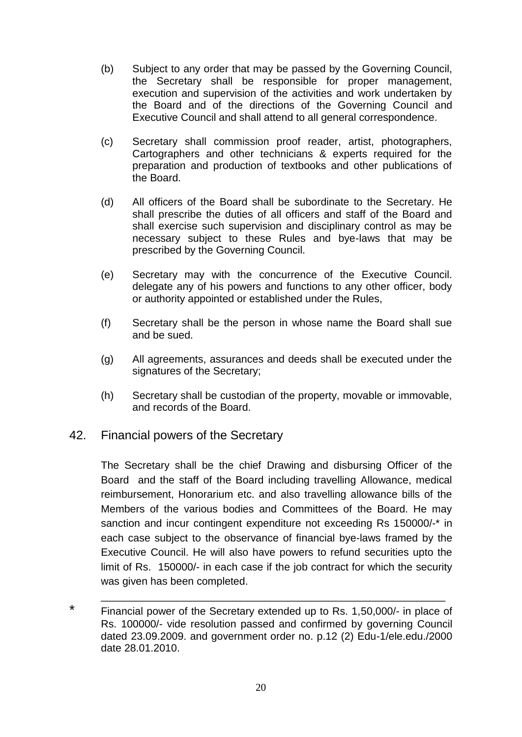- (b) Subject to any order that may be passed by the Governing Council, the Secretary shall be responsible for proper management, execution and supervision of the activities and work undertaken by the Board and of the directions of the Governing Council and Executive Council and shall attend to all general correspondence.
- (c) Secretary shall commission proof reader, artist, photographers, Cartographers and other technicians & experts required for the preparation and production of textbooks and other publications of the Board.
- (d) All officers of the Board shall be subordinate to the Secretary. He shall prescribe the duties of all officers and staff of the Board and shall exercise such supervision and disciplinary control as may be necessary subject to these Rules and bye-laws that may be prescribed by the Governing Council.
- (e) Secretary may with the concurrence of the Executive Council. delegate any of his powers and functions to any other officer, body or authority appointed or established under the Rules,
- (f) Secretary shall be the person in whose name the Board shall sue and be sued.
- (g) All agreements, assurances and deeds shall be executed under the signatures of the Secretary;
- (h) Secretary shall be custodian of the property, movable or immovable, and records of the Board.
- 42. Financial powers of the Secretary

The Secretary shall be the chief Drawing and disbursing Officer of the Board and the staff of the Board including travelling Allowance, medical reimbursement, Honorarium etc. and also travelling allowance bills of the Members of the various bodies and Committees of the Board. He may sanction and incur contingent expenditure not exceeding Rs 150000/-\* in each case subject to the observance of financial bye-laws framed by the Executive Council. He will also have powers to refund securities upto the limit of Rs. 150000/- in each case if the job contract for which the security was given has been completed.

\* Financial power of the Secretary extended up to Rs. 1,50,000/- in place of Rs. 100000/- vide resolution passed and confirmed by governing Council dated 23.09.2009. and government order no. p.12 (2) Edu-1/ele.edu./2000 date 28.01.2010.

\_\_\_\_\_\_\_\_\_\_\_\_\_\_\_\_\_\_\_\_\_\_\_\_\_\_\_\_\_\_\_\_\_\_\_\_\_\_\_\_\_\_\_\_\_\_\_\_\_\_\_\_\_\_\_\_\_\_\_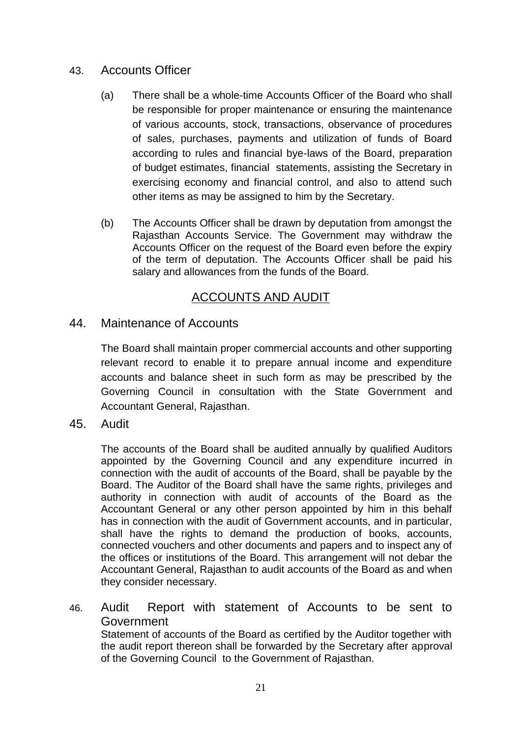### 43. Accounts Officer

- (a) There shall be a whole-time Accounts Officer of the Board who shall be responsible for proper maintenance or ensuring the maintenance of various accounts, stock, transactions, observance of procedures of sales, purchases, payments and utilization of funds of Board according to rules and financial bye-laws of the Board, preparation of budget estimates, financial statements, assisting the Secretary in exercising economy and financial control, and also to attend such other items as may be assigned to him by the Secretary.
- (b) The Accounts Officer shall be drawn by deputation from amongst the Rajasthan Accounts Service. The Government may withdraw the Accounts Officer on the request of the Board even before the expiry of the term of deputation. The Accounts Officer shall be paid his salary and allowances from the funds of the Board.

# ACCOUNTS AND AUDIT

#### 44. Maintenance of Accounts

The Board shall maintain proper commercial accounts and other supporting relevant record to enable it to prepare annual income and expenditure accounts and balance sheet in such form as may be prescribed by the Governing Council in consultation with the State Government and Accountant General, Rajasthan.

45. Audit

The accounts of the Board shall be audited annually by qualified Auditors appointed by the Governing Council and any expenditure incurred in connection with the audit of accounts of the Board, shall be payable by the Board. The Auditor of the Board shall have the same rights, privileges and authority in connection with audit of accounts of the Board as the Accountant General or any other person appointed by him in this behalf has in connection with the audit of Government accounts, and in particular, shall have the rights to demand the production of books, accounts, connected vouchers and other documents and papers and to inspect any of the offices or institutions of the Board. This arrangement will not debar the Accountant General, Rajasthan to audit accounts of the Board as and when they consider necessary.

46. Audit Report with statement of Accounts to be sent to Government

Statement of accounts of the Board as certified by the Auditor together with the audit report thereon shall be forwarded by the Secretary after approval of the Governing Council to the Government of Rajasthan.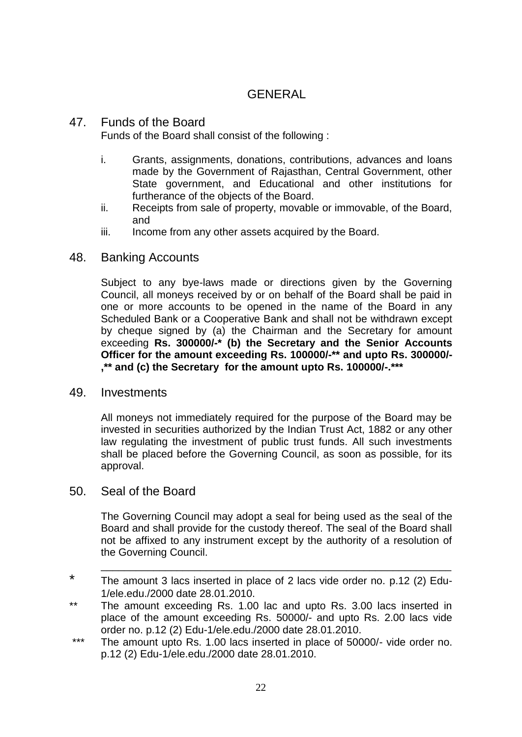# GENERAL

#### 47. Funds of the Board

Funds of the Board shall consist of the following :

- i. Grants, assignments, donations, contributions, advances and loans made by the Government of Rajasthan, Central Government, other State government, and Educational and other institutions for furtherance of the objects of the Board.
- ii. Receipts from sale of property, movable or immovable, of the Board, and
- iii. Income from any other assets acquired by the Board.

#### 48. Banking Accounts

Subject to any bye-laws made or directions given by the Governing Council, all moneys received by or on behalf of the Board shall be paid in one or more accounts to be opened in the name of the Board in any Scheduled Bank or a Cooperative Bank and shall not be withdrawn except by cheque signed by (a) the Chairman and the Secretary for amount exceeding **Rs. 300000/-\* (b) the Secretary and the Senior Accounts Officer for the amount exceeding Rs. 100000/-\*\* and upto Rs. 300000/- ,\*\* and (c) the Secretary for the amount upto Rs. 100000/-.\*\*\***

#### 49. Investments

All moneys not immediately required for the purpose of the Board may be invested in securities authorized by the Indian Trust Act, 1882 or any other law regulating the investment of public trust funds. All such investments shall be placed before the Governing Council, as soon as possible, for its approval.

#### 50. Seal of the Board

The Governing Council may adopt a seal for being used as the seal of the Board and shall provide for the custody thereof. The seal of the Board shall not be affixed to any instrument except by the authority of a resolution of the Governing Council.

\_\_\_\_\_\_\_\_\_\_\_\_\_\_\_\_\_\_\_\_\_\_\_\_\_\_\_\_\_\_\_\_\_\_\_\_\_\_\_\_\_\_\_\_\_\_\_\_\_\_\_\_\_\_\_\_\_\_\_\_

- \* The amount 3 lacs inserted in place of 2 lacs vide order no. p.12 (2) Edu-1/ele.edu./2000 date 28.01.2010.
- \*\* The amount exceeding Rs. 1.00 lac and upto Rs. 3.00 lacs inserted in place of the amount exceeding Rs. 50000/- and upto Rs. 2.00 lacs vide order no. p.12 (2) Edu-1/ele.edu./2000 date 28.01.2010.
- \*\*\* The amount upto Rs. 1.00 lacs inserted in place of 50000/- vide order no. p.12 (2) Edu-1/ele.edu./2000 date 28.01.2010.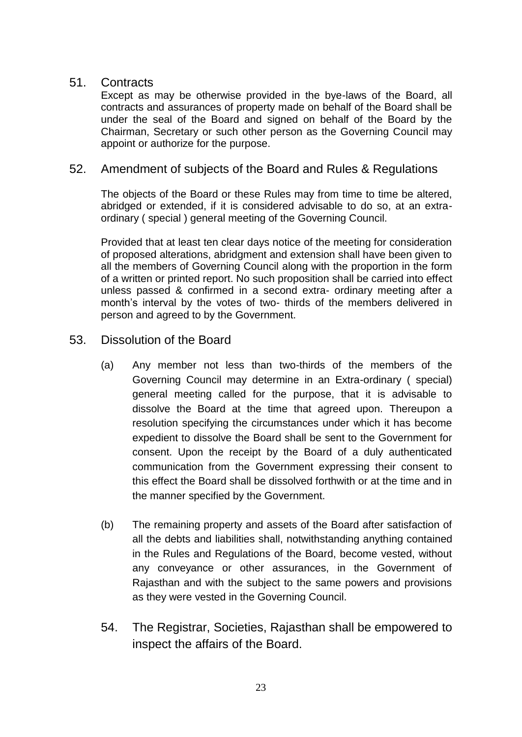#### 51. Contracts

Except as may be otherwise provided in the bye-laws of the Board, all contracts and assurances of property made on behalf of the Board shall be under the seal of the Board and signed on behalf of the Board by the Chairman, Secretary or such other person as the Governing Council may appoint or authorize for the purpose.

# 52. Amendment of subjects of the Board and Rules & Regulations

The objects of the Board or these Rules may from time to time be altered, abridged or extended, if it is considered advisable to do so, at an extraordinary ( special ) general meeting of the Governing Council.

Provided that at least ten clear days notice of the meeting for consideration of proposed alterations, abridgment and extension shall have been given to all the members of Governing Council along with the proportion in the form of a written or printed report. No such proposition shall be carried into effect unless passed & confirmed in a second extra- ordinary meeting after a month's interval by the votes of two- thirds of the members delivered in person and agreed to by the Government.

#### 53. Dissolution of the Board

- (a) Any member not less than two-thirds of the members of the Governing Council may determine in an Extra-ordinary ( special) general meeting called for the purpose, that it is advisable to dissolve the Board at the time that agreed upon. Thereupon a resolution specifying the circumstances under which it has become expedient to dissolve the Board shall be sent to the Government for consent. Upon the receipt by the Board of a duly authenticated communication from the Government expressing their consent to this effect the Board shall be dissolved forthwith or at the time and in the manner specified by the Government.
- (b) The remaining property and assets of the Board after satisfaction of all the debts and liabilities shall, notwithstanding anything contained in the Rules and Regulations of the Board, become vested, without any conveyance or other assurances, in the Government of Rajasthan and with the subject to the same powers and provisions as they were vested in the Governing Council.
- 54. The Registrar, Societies, Rajasthan shall be empowered to inspect the affairs of the Board.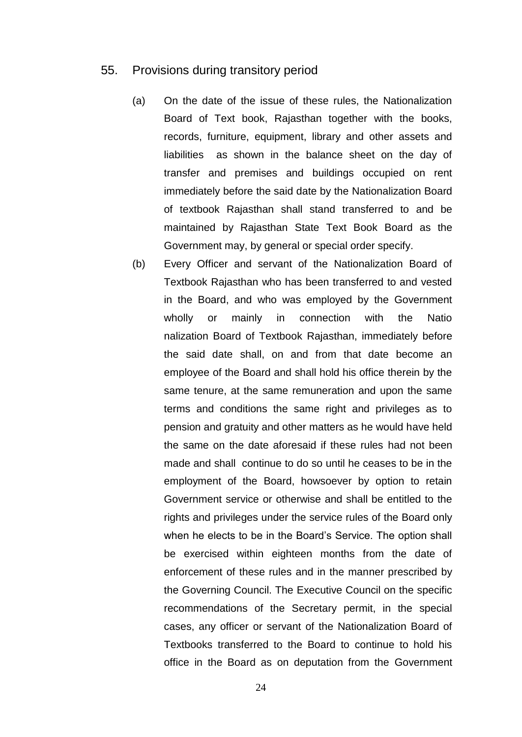#### 55. Provisions during transitory period

- (a) On the date of the issue of these rules, the Nationalization Board of Text book, Rajasthan together with the books, records, furniture, equipment, library and other assets and liabilities as shown in the balance sheet on the day of transfer and premises and buildings occupied on rent immediately before the said date by the Nationalization Board of textbook Rajasthan shall stand transferred to and be maintained by Rajasthan State Text Book Board as the Government may, by general or special order specify.
- (b) Every Officer and servant of the Nationalization Board of Textbook Rajasthan who has been transferred to and vested in the Board, and who was employed by the Government wholly or mainly in connection with the Natio nalization Board of Textbook Rajasthan, immediately before the said date shall, on and from that date become an employee of the Board and shall hold his office therein by the same tenure, at the same remuneration and upon the same terms and conditions the same right and privileges as to pension and gratuity and other matters as he would have held the same on the date aforesaid if these rules had not been made and shall continue to do so until he ceases to be in the employment of the Board, howsoever by option to retain Government service or otherwise and shall be entitled to the rights and privileges under the service rules of the Board only when he elects to be in the Board's Service. The option shall be exercised within eighteen months from the date of enforcement of these rules and in the manner prescribed by the Governing Council. The Executive Council on the specific recommendations of the Secretary permit, in the special cases, any officer or servant of the Nationalization Board of Textbooks transferred to the Board to continue to hold his office in the Board as on deputation from the Government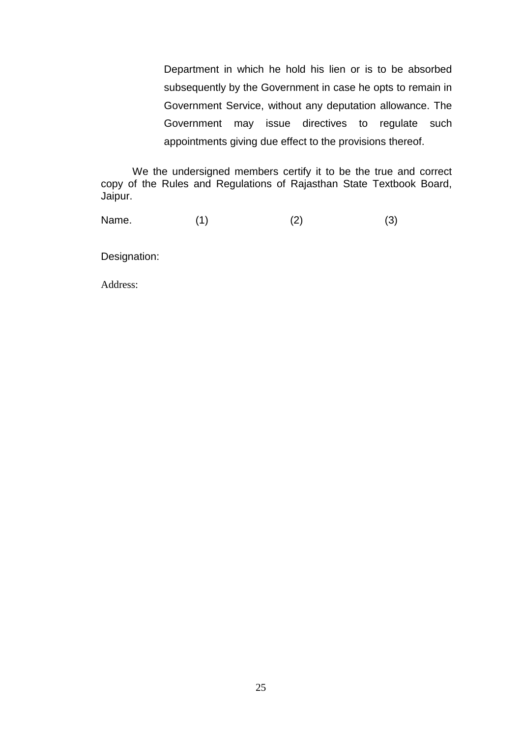Department in which he hold his lien or is to be absorbed subsequently by the Government in case he opts to remain in Government Service, without any deputation allowance. The Government may issue directives to regulate such appointments giving due effect to the provisions thereof.

We the undersigned members certify it to be the true and correct copy of the Rules and Regulations of Rajasthan State Textbook Board, Jaipur.

Name. (1) (2) (3)

Designation:

Address: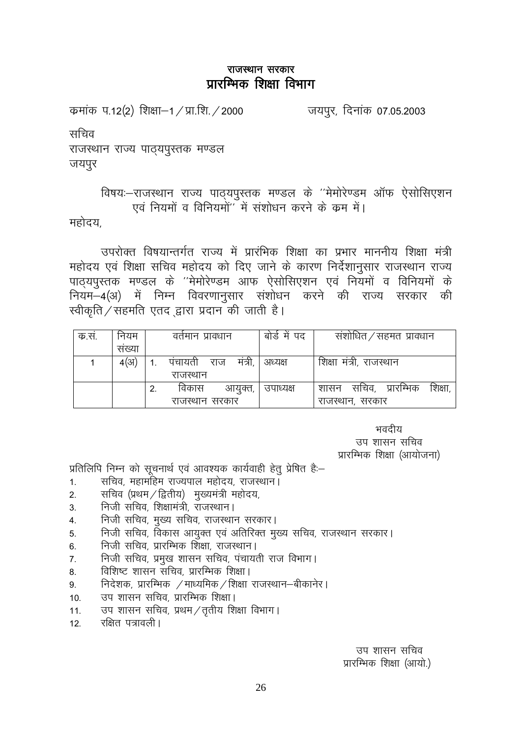कमांक प.12(2) शिक्षा–1 / प्रा.शि. / 2000

जयपुर, दिनांक 07.05.2003

सचिव

राजस्थान राज्य पाठयपुस्तक मण्डल जयपुर

# विषयः-राजस्थान राज्य पाठ्यपुस्तक मण्डल के "मेमोरेण्डम ऑफ ऐसोसिएशन एवं नियमों व विनियमों'' में संशोधन करने के क्रम में।

महोदय.

उपरोक्त विषयान्तर्गत राज्य में प्रारंभिक शिक्षा का प्रभार माननीय शिक्षा मंत्री महोदय एवं शिक्षा सचिव महोदय को दिए जाने के कारण निर्देशानुसार राजस्थान राज्य .<br>पाठ्यपुस्तक मण्डल के ''मेमोरेण्डम आफ ऐसोसिएशन एवं नियमों व विनियमों के नियम-4(अ) में निम्न विवरणानुसार संशोधन करने की राज्य सरकार की स्वीकृति ∕ सहमति एतद द्वारा प्रदान की जाती है।

| क.स. | नियम  |    | वतमान प्रावधान |               | बोडे में पद | संशोधित / सहमत) प्रावधान            |
|------|-------|----|----------------|---------------|-------------|-------------------------------------|
|      | सख्या |    |                |               |             |                                     |
|      | 4(31) |    | पंचायती        | राज मंत्री, l | अध्यक्ष     | शिक्षा मंत्री, राजस्थान             |
|      |       |    | राजस्थान       |               |             |                                     |
|      |       | 2. | विकास          | आयुक्त,       | उपाध्यक्ष   | सचिव, प्रारम्भिक<br>शिक्षा.<br>शासन |
|      |       |    | राजस्थान सरकार |               |             | राजस्थान, सरकार                     |

भवदीय

उप शासन सचिव प्रारम्भिक शिक्षा (आयोजना)

प्रतिलिपि निम्न को सूचनार्थ एवं आवश्यक कार्यवाही हेतु प्रेषित है:-

- सचिव, महामहिम राज्यपाल महोदय, राजस्थान।  $1<sub>1</sub>$
- सचिव (प्रथम / द्वितीय) मुख्यमंत्री महोदय,  $2<sub>1</sub>$
- निजी सचिव, शिक्षामंत्री, राजस्थान। 3.
- निजी सचिव, मुख्य सचिव, राजस्थान सरकार।  $\overline{4}$ .
- निजी सचिव, विकास आयुक्त एवं अतिरिक्त मुख्य सचिव, राजस्थान सरकार।  $5<sub>1</sub>$
- निजी सचिव, प्रारम्भिक शिक्षा, राजस्थान।  $6.$
- निजी सचिव, प्रमुख शासन सचिव, पंचायती राज विभाग।  $7<sub>1</sub>$
- विशिष्ट शासन सचिव, प्रारम्भिक शिक्षा। 8.
- निदेशक, प्रारम्भिक /माध्यमिक/शिक्षा राजस्थान–बीकानेर।  $9.$
- $10.$ उप शासन सचिव, प्रारम्भिक शिक्षा।
- उप शासन सचिव, प्रथम / तृतीय शिक्षा विभाग।  $11.$
- रक्षित पत्रावली ।  $12.$

उप शासन सचिव प्रारम्भिक शिक्षा (आयो.)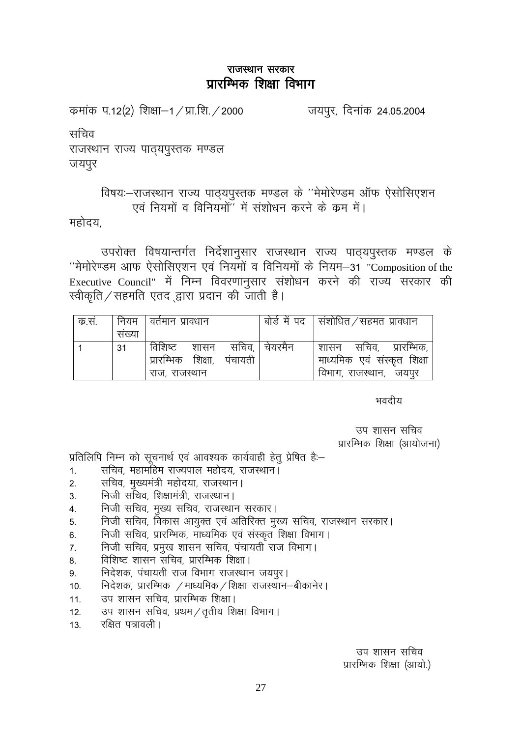कमांक प.12(2) शिक्षा–1 / प्रा.शि. / 2000

जयपुर, दिनांक 24.05.2004

सचिव

राजस्थान राज्य पाठयपुस्तक मण्डल जयपुर

# विषयः-राजस्थान राज्य पाठ्यपुस्तक मण्डल के ''मेमोरेण्डम ऑफ ऐसोसिएशन एवं नियमों व विनियमों" में संशोधन करने के क्रम में।

महोदय.

उपरोक्त विषयान्तर्गत निर्देशानुसार राजस्थान राज्य पाठ्यपुस्तक मण्डल के "मेमोरेण्डम आफ ऐसोसिएशन एवं नियमों व विनियमों के नियम-31 "Composition of the Executive Council" में निम्न विवरणानुसार संशोधन करने की राज्य सरकार की स्वीकृति ∕ सहमति एतद द्वारा प्रदान की जाती है।

| क.स. | नियम  | । वर्तमान प्रावधान                                          |                 | . बोर्ड में पद   संशोधित $\,$ सहमत प्रावधान                                      |
|------|-------|-------------------------------------------------------------|-----------------|----------------------------------------------------------------------------------|
|      | सख्या |                                                             |                 |                                                                                  |
|      | 31    | विशिष्ट शासन<br>प्रारम्भिक शिक्षा, पंचायती<br>राज, राजस्थान | सचिव.   चेयरमैन | शासन सचिव, प्रारम्भिक,<br>माध्यमिक एवं संस्कृत शिक्षा<br>विभाग, राजस्थान,  जयपुर |

भवदीय

उप शासन सचिव प्रारम्भिक शिक्षा (आयोजना)

प्रतिलिपि निम्न को सूचनार्थ एवं आवश्यक कार्यवाही हेतू प्रेषित है:-

- सचिव, महामहिम राज्यपाल महोदय, राजस्थान।  $1.$
- सचिव, मुख्यमंत्री महोदया, राजस्थान। 2.
- निजी सचिव, शिक्षामंत्री, राजस्थान।  $\overline{3}$ .
- निजी सचिव, मुख्य सचिव, राजस्थान सरकार।  $\overline{4}$ .
- निजी सचिव, विकास आयुक्त एवं अतिरिक्त मुख्य सचिव, राजस्थान सरकार। 5.
- निजी सचिव, प्रारम्भिक, माध्यमिक एवं संस्कृत शिक्षा विभाग। 6.
- निजी सचिव, प्रमुख शासन सचिव, पंचायती राज विभाग।  $\overline{7}$ .
- विशिष्ट शासन सचिव, प्रारम्भिक शिक्षा। 8.
- निदेशक, पंचायती राज विभाग राजस्थान जयपुर। 9.
- निदेशक, प्रारम्भिक /माध्यमिक/शिक्षा राजस्थान-बीकानेर।  $10.$
- उप शासन सचिव, प्रारम्भिक शिक्षा।  $11.$
- उप शासन सचिव, प्रथम / तृतीय शिक्षा विभाग।  $12.$
- रक्षित पत्रावली ।  $13.$

उप शासन सचिव प्रारम्भिक शिक्षा (आयो.)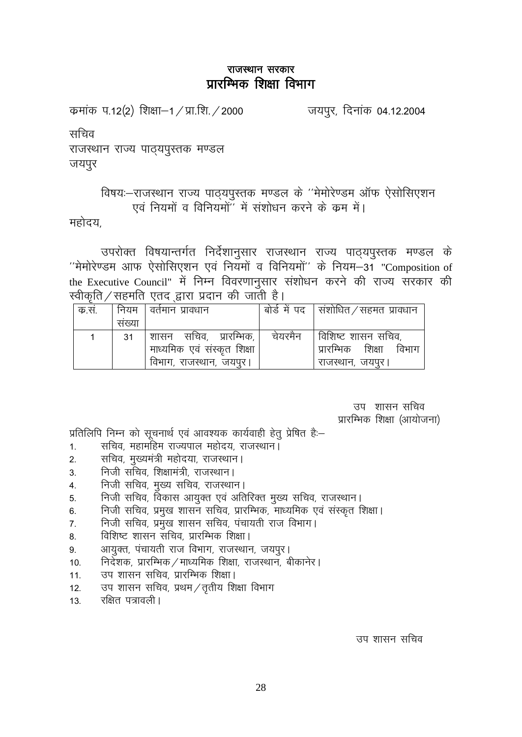कमांक प.12(2) शिक्षा–1 / प्रा.शि. / 2000

जयपुर, दिनांक 04.12.2004

सचिव

राजस्थान राज्य पाठयपुस्तक मण्डल जयपुर

# विषयः-राजस्थान राज्य पाठ्यपुस्तक मण्डल के ''मेमोरेण्डम ऑफ ऐसोसिएशन एवं नियमों व विनियमों" में संशोधन करने के क्रम में।

महोदय.

उपरोक्त विषयान्तर्गत निर्देशानुसार राजस्थान राज्य पाठ्यपुस्तक मण्डल के "मेमोरेण्डम आफ ऐसोसिएशन एवं नियमों व विनियमों" के नियम-31 "Composition of the Executive Council" में निम्न विवरणानुसार संशोधन करने की राज्य सरकार की स्वीकति ∕ सहमति एतद द्वारा प्रदान की जाती है।

| क.सं. |        | । नियम   वर्तमान प्रावधान   |         | बोर्ड में पद सिंशोधित / सहमत प्रावधान |
|-------|--------|-----------------------------|---------|---------------------------------------|
|       | संख्या |                             |         |                                       |
|       | 31     | शासन सचिव, प्रारम्भिक,      | चेयरमैन | । विशिष्ट शासन सचिव,                  |
|       |        | माध्यमिक एवं संस्कृत शिक्षा |         | प्रारम्भिक शिक्षा<br>विभाग            |
|       |        | विभाग, राजस्थान, जयपूर।     |         | राजस्थान, जयपुर।                      |

उप शासन सचिव प्रारम्भिक शिक्षा (आयोजना)

प्रतिलिपि निम्न को सूचनार्थ एवं आवश्यक कार्यवाही हेतु प्रेषित है:-

- सचिव, महामहिम राज्यपाल महोदय, राजस्थान।  $1.$
- सचिव, मुख्यमंत्री महोदया, राजस्थान।  $2.$
- निजी सचिव, शिक्षामंत्री, राजस्थान।  $3.$
- निजी सचिव, मुख्य सचिव, राजस्थान।  $\overline{4}$
- निजी सचिव, विकास आयुक्त एवं अतिरिक्त मुख्य सचिव, राजस्थान। 5.
- निजी सचिव, प्रमुख शासन सचिव, प्रारम्भिक, माध्यमिक एवं संस्कृत शिक्षा। 6.
- निजी सचिव, प्रमुख शासन सचिव, पंचायती राज विभाग।  $7<sub>1</sub>$
- विशिष्ट शासन सचिव, प्रारम्भिक शिक्षा। 8.
- आयुक्त, पंचायती राज विभाग, राजस्थान, जयपुर। 9.
- निर्देशक, प्रारम्भिक / माध्यमिक शिक्षा, राजस्थान, बीकानेर।  $10.$
- उप शासन सचिव, प्रारम्भिक शिक्षा।  $11.$
- $12.$ उप शासन सचिव, प्रथम/तृतीय शिक्षा विभाग
- रक्षित पत्रावली ।  $13.$

उप शासन सचिव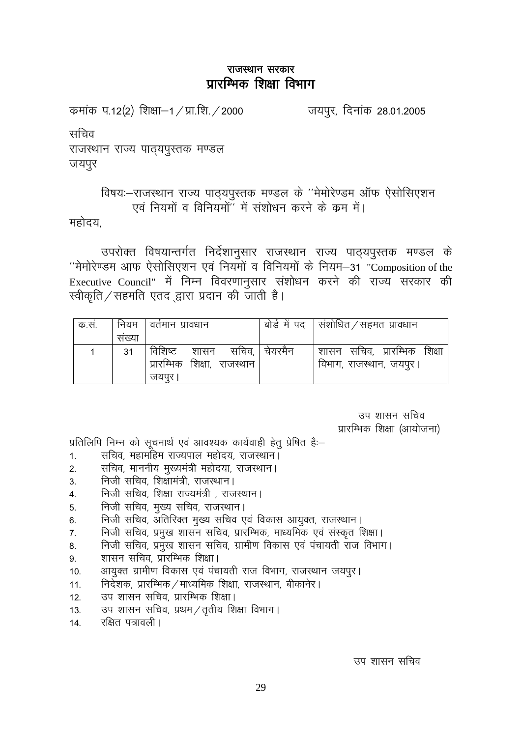कमांक प.12(2) शिक्षा–1 / प्रा.शि. / 2000

जयपुर, दिनांक 28.01.2005

सचिव

राजस्थान राज्य पाठयपुस्तक मण्डल जयपुर

# विषयः-राजस्थान राज्य पाठ्यपुस्तक मण्डल के ''मेमोरेण्डम ऑफ ऐसोसिएशन एवं नियमों व विनियमों" में संशोधन करने के क्रम में।

महोदय.

उपरोक्त विषयान्तर्गत निर्देशानुसार राजस्थान राज्य पाठ्यपुस्तक मण्डल के "मेमोरेण्डम आफ ऐसोसिएशन एवं नियमों व विनियमों के नियम-31 "Composition of the Executive Council" में निम्न विवरणानुसार संशोधन करने की राज्य सरकार की स्वीकृति ∕ सहमति एतद द्वारा प्रदान की जाती है।

| क.स. |       | नियम । वर्तमान प्रावधान               | बोर्ड में पद   संशोधित / सहमत प्रावधान                  |
|------|-------|---------------------------------------|---------------------------------------------------------|
|      | सख्या |                                       |                                                         |
|      | 31    | प्रारम्भिक शिक्षा, राजस्थान<br>जयपर । | शासन सचिव, प्रारम्भिक शिक्षा<br>विभाग, राजस्थान, जयपूर। |

उप शासन सचिव प्रारम्भिक शिक्षा (आयोजना)

प्रतिलिपि निम्न को सूचनार्थ एवं आवश्यक कार्यवाही हेतु प्रेषित है:-

- सचिव, महामहिम राज्यपाल महोदय, राजस्थान।  $\mathbf{1}$ .
- सचिव, माननीय मुख्यमंत्री महोदया, राजस्थान।  $\overline{2}$ .
- निजी सचिव, शिक्षामंत्री, राजस्थान। 3.
- निजी सचिव शिक्षा राज्यमंत्री राजस्थान।  $\overline{4}$ .
- निजी सचिव, मुख्य सचिव, राजस्थान। 5.
- निजी सचिव, अतिरिक्त मुख्य सचिव एवं विकास आयुक्त, राजस्थान।  $6.$
- निजी सचिव, प्रमुख शासन सचिव, प्रारम्भिक, माध्यमिक एवं संस्कृत शिक्षा।  $\overline{7}$
- निजी सचिव, प्रमुख शासन सचिव, ग्रामीण विकास एवं पंचायती राज विभाग। 8.
- शासन सचिव, प्रारम्भिक शिक्षा। 9.
- आयुक्त ग्रामीण विकास एवं पंचायती राज विभाग, राजस्थान जयपुर।  $10.$
- निर्देशक, प्रारम्भिक / माध्यमिक शिक्षा, राजस्थान, बीकानेर।  $11.$
- उप शासन सचिव, प्रारम्भिक शिक्षा।  $12.$
- उप शासन सचिव, प्रथम / तृतीय शिक्षा विभाग।  $13.$
- रक्षित पत्रावली |  $14.$

उप शासन सचिव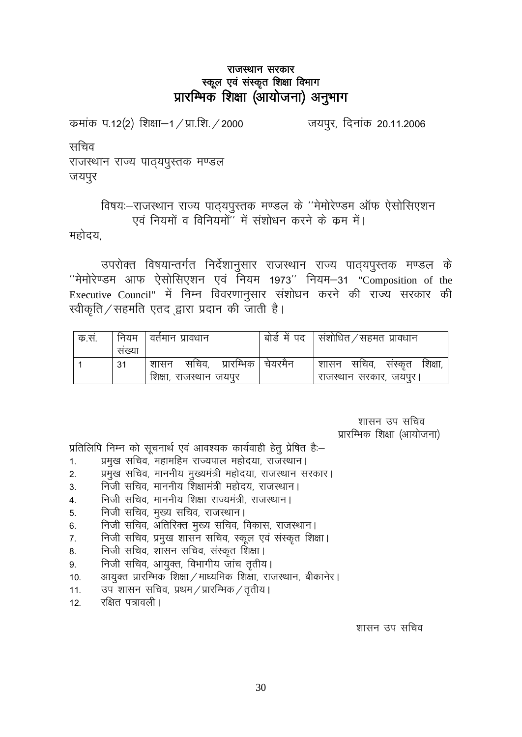### राजस्थान सरकार स्कूल एवं संस्कृत शिक्षा विभाग प्रारम्भिक शिक्षा (आयोजना) अनुभाग

कमांक प.12(2) शिक्षा–1 / प्रा.शि. / 2000

जयपूर, दिनांक 20.11.2006

सचिव

राजस्थान राज्य पाठ्यपुस्तक मण्डल जयपुर

# विषयः-राजस्थान राज्य पाठ्यपुस्तक मण्डल के ''मेमोरेण्डम ऑफ ऐसोसिएशन एवं नियमों व विनियमों" में संशोधन करने के क्रम में।

महोदय

उपरोक्त विषयान्तर्गत निर्देशानुसार राजस्थान राज्य पाठ्यपुस्तक मण्डल के "मेमोरेण्डम आफ ऐसोसिएशन एवं नियम 1973" नियम-31 "Composition of the Executive Council" में निम्न विवरणानुसार संशोधन करने की राज्य सरकार की स्वीकृति / सहमति एतद द्वारा प्रदान की जाती है।

| क.स. |       | नियम । वर्तमान प्रावधान            | , बोर्ड में पद $\,$   संशोधित $\,$ / सहमत प्रावधान |
|------|-------|------------------------------------|----------------------------------------------------|
|      | सख्या |                                    |                                                    |
|      | 31    | सचिव, प्रारम्भिक   चेयरमैन<br>शासन | शासन सचिव, संस्कृत<br>शिक्षा,                      |
|      |       | शिक्षा, राजस्थान जयपुर             | राजस्थान सरकार, जयपुर।                             |

शासन उप सचिव प्रारम्भिक शिक्षा (आयोजना)

प्रतिलिपि निम्न को सूचनार्थ एवं आवश्यक कार्यवाही हेतू प्रेषित है:-

- प्रमुख सचिव, महामहिम राज्यपाल महोदया, राजस्थान।  $1.$
- प्रमुख सचिव, माननीय मुख्यमंत्री महोदया, राजस्थान सरकार।  $2.$
- निजी सचिव. माननीय शिक्षामंत्री महोदय. राजस्थान ।  $3<sub>l</sub>$
- निजी सचिव, माननीय शिक्षा राज्यमंत्री, राजस्थान।  $\overline{4}$ .
- निजी सचिव, मुख्य सचिव, राजस्थान। 5.
- निजी सचिव, अतिरिक्त मुख्य सचिव, विकास, राजस्थान। 6.
- निजी सचिव, प्रमुख शासन सचिव, स्कूल एवं संस्कृत शिक्षा।  $7<sub>1</sub>$
- निजी सचिव, शासन सचिव, संस्कृत शिक्षा। 8.
- निजी सचिव, आयुक्त, विभागीय जांच तृतीय।  $9.$
- आयुक्त प्रारम्भिक शिक्षा / माध्यमिक शिक्षा, राजस्थान, बीकानेर।  $10<sub>1</sub>$
- उप शासन सचिव, प्रथम / प्रारम्भिक / तृतीय ।  $11.$
- रक्षित पत्रावली |  $12<sup>1</sup>$

शासन उप सचिव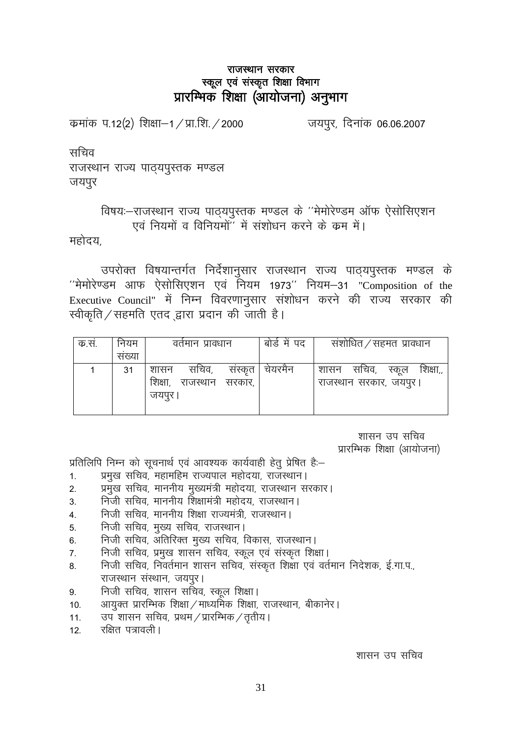### राजस्थान सरकार स्कूल एवं संस्कृत शिक्षा विभाग प्रारम्भिक शिक्षा (आयोजना) अनुभाग

कमांक प.12(2) शिक्षा–1 / प्रा.शि. / 2000 जयपुर, दिनांक 06.06.2007

सचिव

राजस्थान राज्य पाठयपुस्तक मण्डल जयपुर

विषयः-राजस्थान राज्य पाठ्यपुस्तक मण्डल के ''मेमोरेण्डम ऑफ ऐसोसिएशन एवं नियमों व विनियमों'' में संशोधन करने के क्रम में।

महोदय.

उपरोक्त विषयान्तर्गत निर्देशानुसार राजस्थान राज्य पाठ्यपुस्तक मण्डल के  $'$ मेमोरेण्डम आफ ऐसोसिएशन एवं नियम 1973'' नियम-31 "Composition of the Executive Council" में निम्न विवरणानुसार संशोधन करने की राज्य सरकार की  $R$ कीकृति / सहमति एतद द्वारा प्रदान की जाती है।

| क.सं. | नियम  | वर्तमान प्रावधान                                                 | बोडे में पद | संशोधित ⁄ सहमत प्रावधान                                |
|-------|-------|------------------------------------------------------------------|-------------|--------------------------------------------------------|
|       | सख्या |                                                                  |             |                                                        |
|       | 31    | संस्कृत  <br>सचिव,<br>शासन<br>शिक्षा, राजस्थान सरकार,<br>जयपुर । | । चेयरमैन   | शासन सचिव, स्कूल<br>शिक्षा,,<br>राजस्थान सरकार, जयपुर। |

शासन उप सचिव प्रारम्भिक शिक्षा (आयोजना)

प्रतिलिपि निम्न को सूचनार्थ एवं आवश्यक कार्यवाही हेतु प्रेषित है:-

- 1. प्रमुख सचिव, महामहिम राज्यपाल महोदया, राजस्थान।
- 2. प्रमुख सचिव, माननीय मुख्यमंत्री महोदया, राजस्थान सरकार।
- 3. निजी सचिव, माननीय शिक्षामंत्री महोदय, राजस्थान।
- 4. निजी सचिव. माननीय शिक्षा राज्यमंत्री. राजस्थान।
- 5. निजी सचिव, मुख्य सचिव, राजस्थान।
- 6- futh lfpo] vfrfjDr eq[; lfpo] fodkl] jktLFkkuA
- 7. निजी सचिव, प्रमुख शासन सचिव, स्कूल एवं संस्कृत शिक्षा।
- 8. निजी सचिव, निवर्तमान शासन सचिव, संस्कृत शिक्षा एवं वर्तमान निदेशक, ई.गा.प., राजस्थान संस्थान, जयपुर।
- 9. निजी सचिव, शासन सचिव, स्कूल शिक्षा।
- 10. अायुक्त प्रारम्भिक शिक्षा / माध्यमिक शिक्षा, राजस्थान, बीकानेर।
- 11. उप शासन सचिव, प्रथम / प्रारम्भिक / तृतीय |
- 12 रक्षित पत्रावली |

शासन उप सचिव